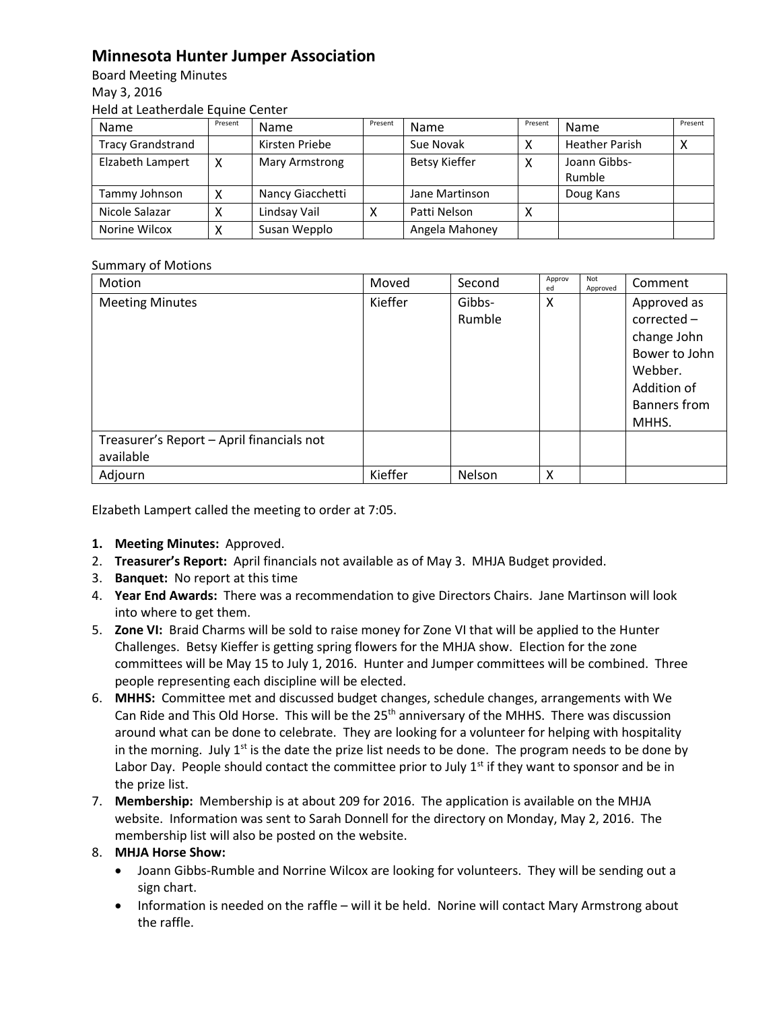## **Minnesota Hunter Jumper Association**

Board Meeting Minutes May 3, 2016 Held at Leatherdale Equine Center

| Name                     | Present | <b>Name</b>      | Present | Name                 | Present | Name                  | Present |
|--------------------------|---------|------------------|---------|----------------------|---------|-----------------------|---------|
| <b>Tracy Grandstrand</b> |         | Kirsten Priebe   |         | Sue Novak            |         | <b>Heather Parish</b> |         |
| Elzabeth Lampert         |         | Mary Armstrong   |         | <b>Betsy Kieffer</b> | ↗       | Joann Gibbs-          |         |
|                          |         |                  |         |                      |         | Rumble                |         |
| Tammy Johnson            |         | Nancy Giacchetti |         | Jane Martinson       |         | Doug Kans             |         |
| Nicole Salazar           |         | Lindsay Vail     |         | Patti Nelson         | ⌒       |                       |         |
| Norine Wilcox            |         | Susan Wepplo     |         | Angela Mahoney       |         |                       |         |

## Summary of Motions

| Motion                                    | Moved   | Second           | Approv<br>ed | Not<br>Approved | Comment                                                                                                       |
|-------------------------------------------|---------|------------------|--------------|-----------------|---------------------------------------------------------------------------------------------------------------|
| <b>Meeting Minutes</b>                    | Kieffer | Gibbs-<br>Rumble | X            |                 | Approved as<br>$corrected -$<br>change John<br>Bower to John<br>Webber.<br>Addition of<br><b>Banners from</b> |
|                                           |         |                  |              |                 | MHHS.                                                                                                         |
| Treasurer's Report - April financials not |         |                  |              |                 |                                                                                                               |
| available                                 |         |                  |              |                 |                                                                                                               |
| Adjourn                                   | Kieffer | Nelson           | X            |                 |                                                                                                               |

Elzabeth Lampert called the meeting to order at 7:05.

- **1. Meeting Minutes:** Approved.
- 2. **Treasurer's Report:** April financials not available as of May 3. MHJA Budget provided.
- 3. **Banquet:** No report at this time
- 4. **Year End Awards:** There was a recommendation to give Directors Chairs. Jane Martinson will look into where to get them.
- 5. **Zone VI:** Braid Charms will be sold to raise money for Zone VI that will be applied to the Hunter Challenges. Betsy Kieffer is getting spring flowers for the MHJA show. Election for the zone committees will be May 15 to July 1, 2016. Hunter and Jumper committees will be combined. Three people representing each discipline will be elected.
- 6. **MHHS:** Committee met and discussed budget changes, schedule changes, arrangements with We Can Ride and This Old Horse. This will be the 25<sup>th</sup> anniversary of the MHHS. There was discussion around what can be done to celebrate. They are looking for a volunteer for helping with hospitality in the morning. July  $1^{st}$  is the date the prize list needs to be done. The program needs to be done by Labor Day. People should contact the committee prior to July  $1<sup>st</sup>$  if they want to sponsor and be in the prize list.
- 7. **Membership:** Membership is at about 209 for 2016. The application is available on the MHJA website. Information was sent to Sarah Donnell for the directory on Monday, May 2, 2016. The membership list will also be posted on the website.

## 8. **MHJA Horse Show:**

- Joann Gibbs-Rumble and Norrine Wilcox are looking for volunteers. They will be sending out a sign chart.
- Information is needed on the raffle will it be held. Norine will contact Mary Armstrong about the raffle.